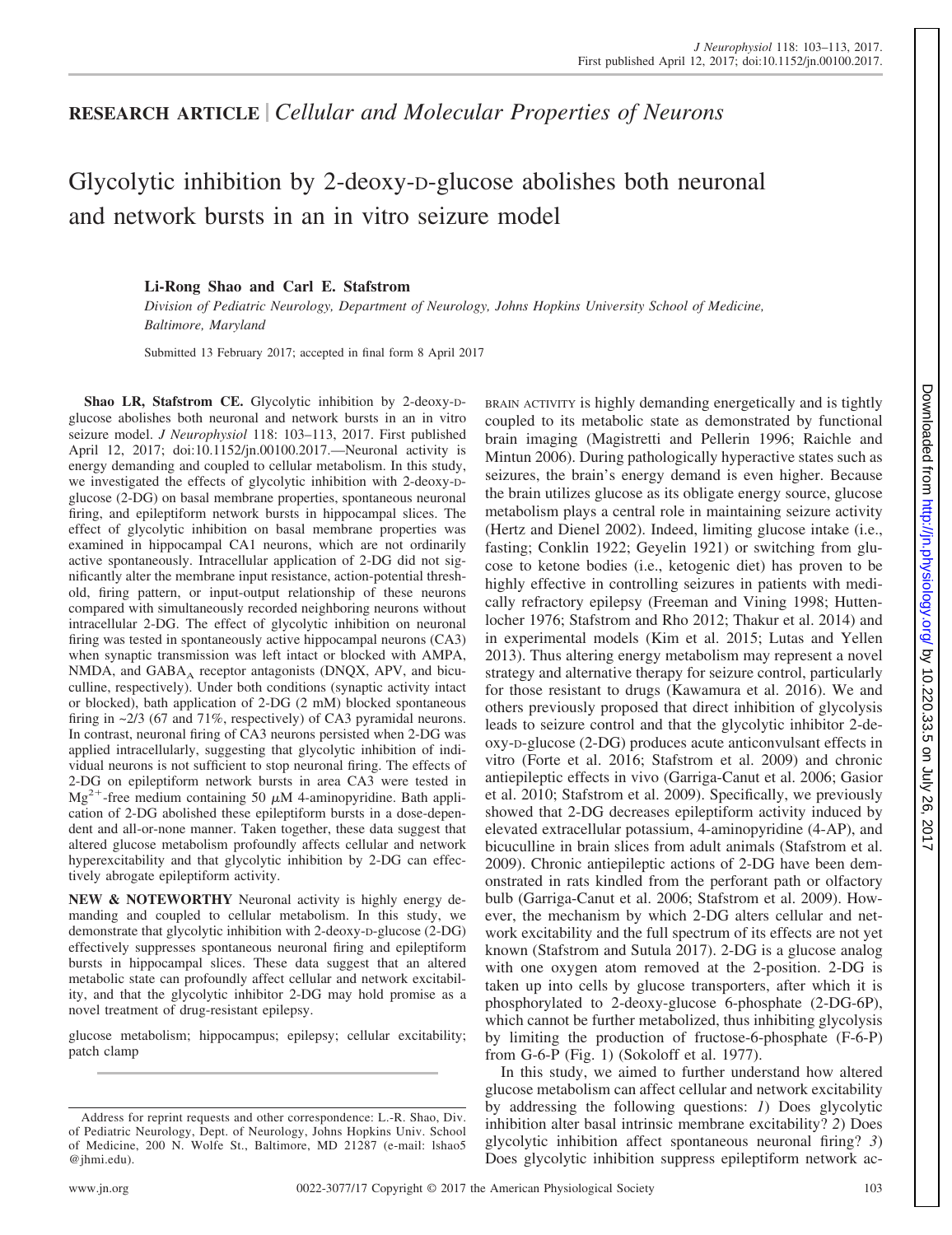## **RESEARCH ARTICLE** *Cellular and Molecular Properties of Neurons*

# Glycolytic inhibition by 2-deoxy-D-glucose abolishes both neuronal and network bursts in an in vitro seizure model

### **Li-Rong Shao and Carl E. Stafstrom**

*Division of Pediatric Neurology, Department of Neurology, Johns Hopkins University School of Medicine, Baltimore, Maryland*

Submitted 13 February 2017; accepted in final form 8 April 2017

**Shao LR, Stafstrom CE.** Glycolytic inhibition by 2-deoxy-Dglucose abolishes both neuronal and network bursts in an in vitro seizure model. *J Neurophysiol* 118: 103–113, 2017. First published April 12, 2017; doi[:10.1152/jn.00100.2017.](http://doi.org/10.1152/jn.00100.2017.)—Neuronal activity is energy demanding and coupled to cellular metabolism. In this study, we investigated the effects of glycolytic inhibition with 2-deoxy-Dglucose (2-DG) on basal membrane properties, spontaneous neuronal firing, and epileptiform network bursts in hippocampal slices. The effect of glycolytic inhibition on basal membrane properties was examined in hippocampal CA1 neurons, which are not ordinarily active spontaneously. Intracellular application of 2-DG did not significantly alter the membrane input resistance, action-potential threshold, firing pattern, or input-output relationship of these neurons compared with simultaneously recorded neighboring neurons without intracellular 2-DG. The effect of glycolytic inhibition on neuronal firing was tested in spontaneously active hippocampal neurons (CA3) when synaptic transmission was left intact or blocked with AMPA, NMDA, and  $GABA_A$  receptor antagonists (DNQX, APV, and bicuculline, respectively). Under both conditions (synaptic activity intact or blocked), bath application of 2-DG (2 mM) blocked spontaneous firing in ~2/3 (67 and 71%, respectively) of CA3 pyramidal neurons. In contrast, neuronal firing of CA3 neurons persisted when 2-DG was applied intracellularly, suggesting that glycolytic inhibition of individual neurons is not sufficient to stop neuronal firing. The effects of 2-DG on epileptiform network bursts in area CA3 were tested in  $Mg^{2+}$ -free medium containing 50  $\mu$ M 4-aminopyridine. Bath application of 2-DG abolished these epileptiform bursts in a dose-dependent and all-or-none manner. Taken together, these data suggest that altered glucose metabolism profoundly affects cellular and network hyperexcitability and that glycolytic inhibition by 2-DG can effectively abrogate epileptiform activity.

**NEW & NOTEWORTHY** Neuronal activity is highly energy demanding and coupled to cellular metabolism. In this study, we demonstrate that glycolytic inhibition with 2-deoxy-D-glucose (2-DG) effectively suppresses spontaneous neuronal firing and epileptiform bursts in hippocampal slices. These data suggest that an altered metabolic state can profoundly affect cellular and network excitability, and that the glycolytic inhibitor 2-DG may hold promise as a novel treatment of drug-resistant epilepsy.

glucose metabolism; hippocampus; epilepsy; cellular excitability; patch clamp

BRAIN ACTIVITY is highly demanding energetically and is tightly coupled to its metabolic state as demonstrated by functional brain imaging (Magistretti and Pellerin 1996; Raichle and Mintun 2006). During pathologically hyperactive states such as seizures, the brain's energy demand is even higher. Because the brain utilizes glucose as its obligate energy source, glucose metabolism plays a central role in maintaining seizure activity (Hertz and Dienel 2002). Indeed, limiting glucose intake (i.e., fasting; Conklin 1922; Geyelin 1921) or switching from glucose to ketone bodies (i.e., ketogenic diet) has proven to be highly effective in controlling seizures in patients with medically refractory epilepsy (Freeman and Vining 1998; Huttenlocher 1976; Stafstrom and Rho 2012; Thakur et al. 2014) and in experimental models (Kim et al. 2015; Lutas and Yellen 2013). Thus altering energy metabolism may represent a novel strategy and alternative therapy for seizure control, particularly for those resistant to drugs (Kawamura et al. 2016). We and others previously proposed that direct inhibition of glycolysis leads to seizure control and that the glycolytic inhibitor 2-deoxy-D-glucose (2-DG) produces acute anticonvulsant effects in vitro (Forte et al. 2016; Stafstrom et al. 2009) and chronic antiepileptic effects in vivo (Garriga-Canut et al. 2006; Gasior et al. 2010; Stafstrom et al. 2009). Specifically, we previously showed that 2-DG decreases epileptiform activity induced by elevated extracellular potassium, 4-aminopyridine (4-AP), and bicuculline in brain slices from adult animals (Stafstrom et al. 2009). Chronic antiepileptic actions of 2-DG have been demonstrated in rats kindled from the perforant path or olfactory bulb (Garriga-Canut et al. 2006; Stafstrom et al. 2009). However, the mechanism by which 2-DG alters cellular and network excitability and the full spectrum of its effects are not yet known (Stafstrom and Sutula 2017). 2-DG is a glucose analog with one oxygen atom removed at the 2-position. 2-DG is taken up into cells by glucose transporters, after which it is phosphorylated to 2-deoxy-glucose 6-phosphate (2-DG-6P), which cannot be further metabolized, thus inhibiting glycolysis by limiting the production of fructose-6-phosphate (F-6-P) from G-6-P (Fig. 1) (Sokoloff et al. 1977).

In this study, we aimed to further understand how altered glucose metabolism can affect cellular and network excitability by addressing the following questions: *1*) Does glycolytic inhibition alter basal intrinsic membrane excitability? *2*) Does glycolytic inhibition affect spontaneous neuronal firing? *3*) Does glycolytic inhibition suppress epileptiform network ac-

Address for reprint requests and other correspondence: L.-R. Shao, Div. of Pediatric Neurology, Dept. of Neurology, Johns Hopkins Univ. School of Medicine, 200 N. Wolfe St., Baltimore, MD 21287 (e-mail: [lshao5](mailto:lshao5@jhmi.edu) [@jhmi.edu\)](mailto:lshao5@jhmi.edu).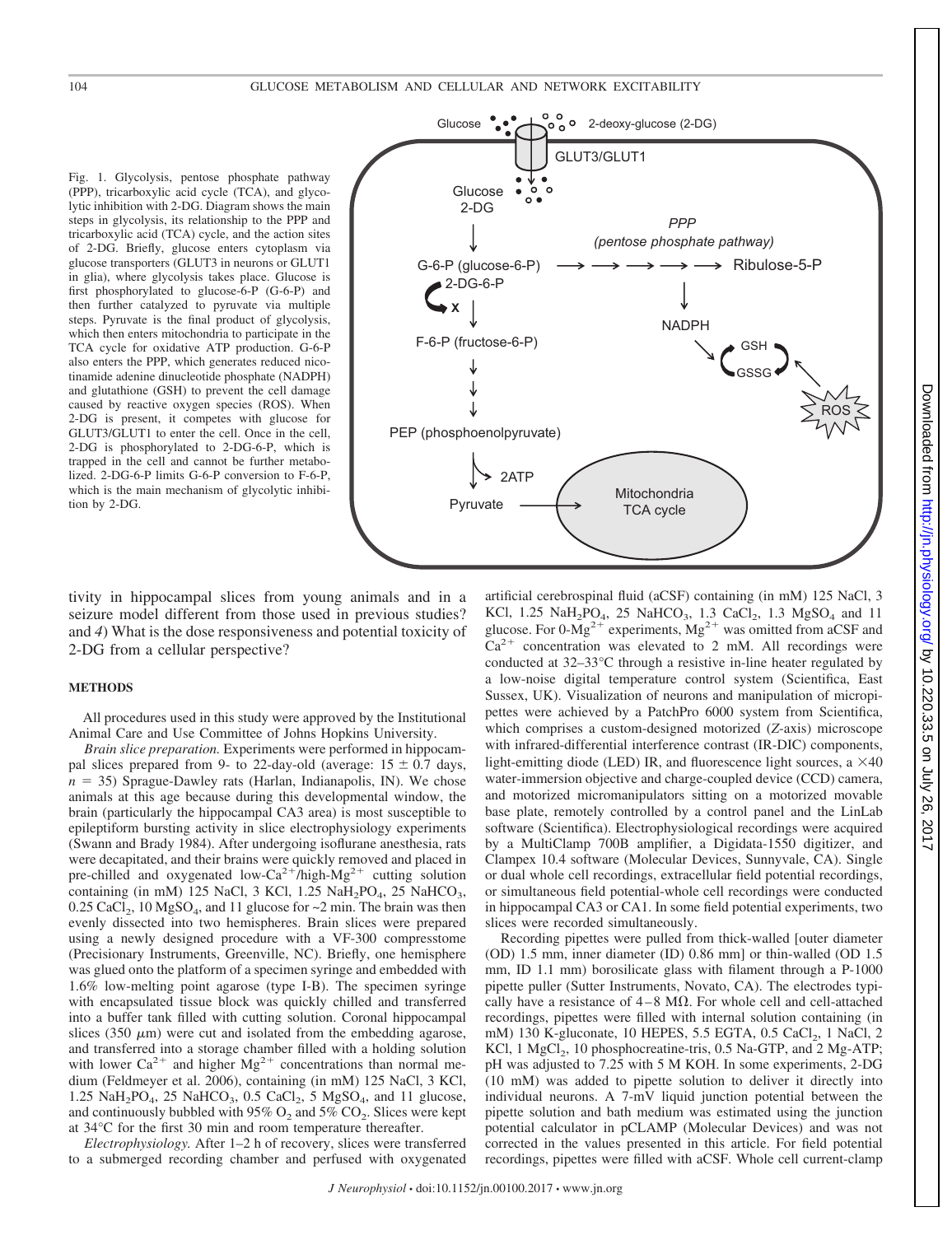Fig. 1. Glycolysis, pentose phosphate pathway (PPP), tricarboxylic acid cycle (TCA), and glycolytic inhibition with 2-DG. Diagram shows the main steps in glycolysis, its relationship to the PPP and tricarboxylic acid (TCA) cycle, and the action sites of 2-DG. Briefly, glucose enters cytoplasm via glucose transporters (GLUT3 in neurons or GLUT1 in glia), where glycolysis takes place. Glucose is first phosphorylated to glucose-6-P (G-6-P) and then further catalyzed to pyruvate via multiple steps. Pyruvate is the final product of glycolysis, which then enters mitochondria to participate in the TCA cycle for oxidative ATP production. G-6-P also enters the PPP, which generates reduced nicotinamide adenine dinucleotide phosphate (NADPH) and glutathione (GSH) to prevent the cell damage caused by reactive oxygen species (ROS). When 2-DG is present, it competes with glucose for GLUT3/GLUT1 to enter the cell. Once in the cell, 2-DG is phosphorylated to 2-DG-6-P, which is trapped in the cell and cannot be further metabolized. 2-DG-6-P limits G-6-P conversion to F-6-P, which is the main mechanism of glycolytic inhibition by 2-DG.



tivity in hippocampal slices from young animals and in a seizure model different from those used in previous studies? and *4*) What is the dose responsiveness and potential toxicity of 2-DG from a cellular perspective?

#### **METHODS**

All procedures used in this study were approved by the Institutional Animal Care and Use Committee of Johns Hopkins University.

*Brain slice preparation.* Experiments were performed in hippocampal slices prepared from 9- to 22-day-old (average:  $15 \pm 0.7$  days,  $n = 35$ ) Sprague-Dawley rats (Harlan, Indianapolis, IN). We chose animals at this age because during this developmental window, the brain (particularly the hippocampal CA3 area) is most susceptible to epileptiform bursting activity in slice electrophysiology experiments (Swann and Brady 1984). After undergoing isoflurane anesthesia, rats were decapitated, and their brains were quickly removed and placed in pre-chilled and oxygenated low-Ca<sup>2+</sup>/high-Mg<sup>2+</sup> cutting solution containing (in mM) 125 NaCl, 3 KCl, 1.25 NaH<sub>2</sub>PO<sub>4</sub>, 25 NaHCO<sub>3</sub>,  $0.25$  CaCl<sub>2</sub>, 10 MgSO<sub>4</sub>, and 11 glucose for  $\sim$ 2 min. The brain was then evenly dissected into two hemispheres. Brain slices were prepared using a newly designed procedure with a VF-300 compresstome (Precisionary Instruments, Greenville, NC). Briefly, one hemisphere was glued onto the platform of a specimen syringe and embedded with 1.6% low-melting point agarose (type I-B). The specimen syringe with encapsulated tissue block was quickly chilled and transferred into a buffer tank filled with cutting solution. Coronal hippocampal slices (350  $\mu$ m) were cut and isolated from the embedding agarose, and transferred into a storage chamber filled with a holding solution with lower  $Ca^{2+}$  and higher  $Mg^{2+}$  concentrations than normal medium (Feldmeyer et al. 2006), containing (in mM) 125 NaCl, 3 KCl, 1.25 NaH<sub>2</sub>PO<sub>4</sub>, 25 NaHCO<sub>3</sub>, 0.5 CaCl<sub>2</sub>, 5 MgSO<sub>4</sub>, and 11 glucose, and continuously bubbled with 95%  $O_2$  and 5%  $CO_2$ . Slices were kept at 34°C for the first 30 min and room temperature thereafter.

*Electrophysiology.* After 1–2 h of recovery, slices were transferred to a submerged recording chamber and perfused with oxygenated artificial cerebrospinal fluid (aCSF) containing (in mM) 125 NaCl, 3 KCl,  $1.25$  NaH<sub>2</sub>PO<sub>4</sub>,  $25$  NaHCO<sub>3</sub>,  $1.3$  CaCl<sub>2</sub>,  $1.3$  MgSO<sub>4</sub> and  $11$ glucose. For  $0\text{-Mg}^{2+}$  experiments,  $\text{Mg}^{2+}$  was omitted from aCSF and  $Ca<sup>2+</sup>$  concentration was elevated to 2 mM. All recordings were conducted at 32–33°C through a resistive in-line heater regulated by a low-noise digital temperature control system (Scientifica, East Sussex, UK). Visualization of neurons and manipulation of micropipettes were achieved by a PatchPro 6000 system from Scientifica, which comprises a custom-designed motorized (*Z*-axis) microscope with infrared-differential interference contrast (IR-DIC) components, light-emitting diode (LED) IR, and fluorescence light sources, a  $\times$ 40 water-immersion objective and charge-coupled device (CCD) camera, and motorized micromanipulators sitting on a motorized movable base plate, remotely controlled by a control panel and the LinLab software (Scientifica). Electrophysiological recordings were acquired by a MultiClamp 700B amplifier, a Digidata-1550 digitizer, and Clampex 10.4 software (Molecular Devices, Sunnyvale, CA). Single or dual whole cell recordings, extracellular field potential recordings, or simultaneous field potential-whole cell recordings were conducted in hippocampal CA3 or CA1. In some field potential experiments, two slices were recorded simultaneously.

Recording pipettes were pulled from thick-walled [outer diameter (OD) 1.5 mm, inner diameter (ID) 0.86 mm] or thin-walled (OD 1.5 mm, ID 1.1 mm) borosilicate glass with filament through a P-1000 pipette puller (Sutter Instruments, Novato, CA). The electrodes typically have a resistance of  $4-8$  M $\Omega$ . For whole cell and cell-attached recordings, pipettes were filled with internal solution containing (in mM) 130 K-gluconate, 10 HEPES, 5.5 EGTA, 0.5 CaCl<sub>2</sub>, 1 NaCl, 2 KCl, 1 MgCl<sub>2</sub>, 10 phosphocreatine-tris, 0.5 Na-GTP, and 2 Mg-ATP; pH was adjusted to 7.25 with 5 M KOH. In some experiments, 2-DG (10 mM) was added to pipette solution to deliver it directly into individual neurons. A 7-mV liquid junction potential between the pipette solution and bath medium was estimated using the junction potential calculator in pCLAMP (Molecular Devices) and was not corrected in the values presented in this article. For field potential recordings, pipettes were filled with aCSF. Whole cell current-clamp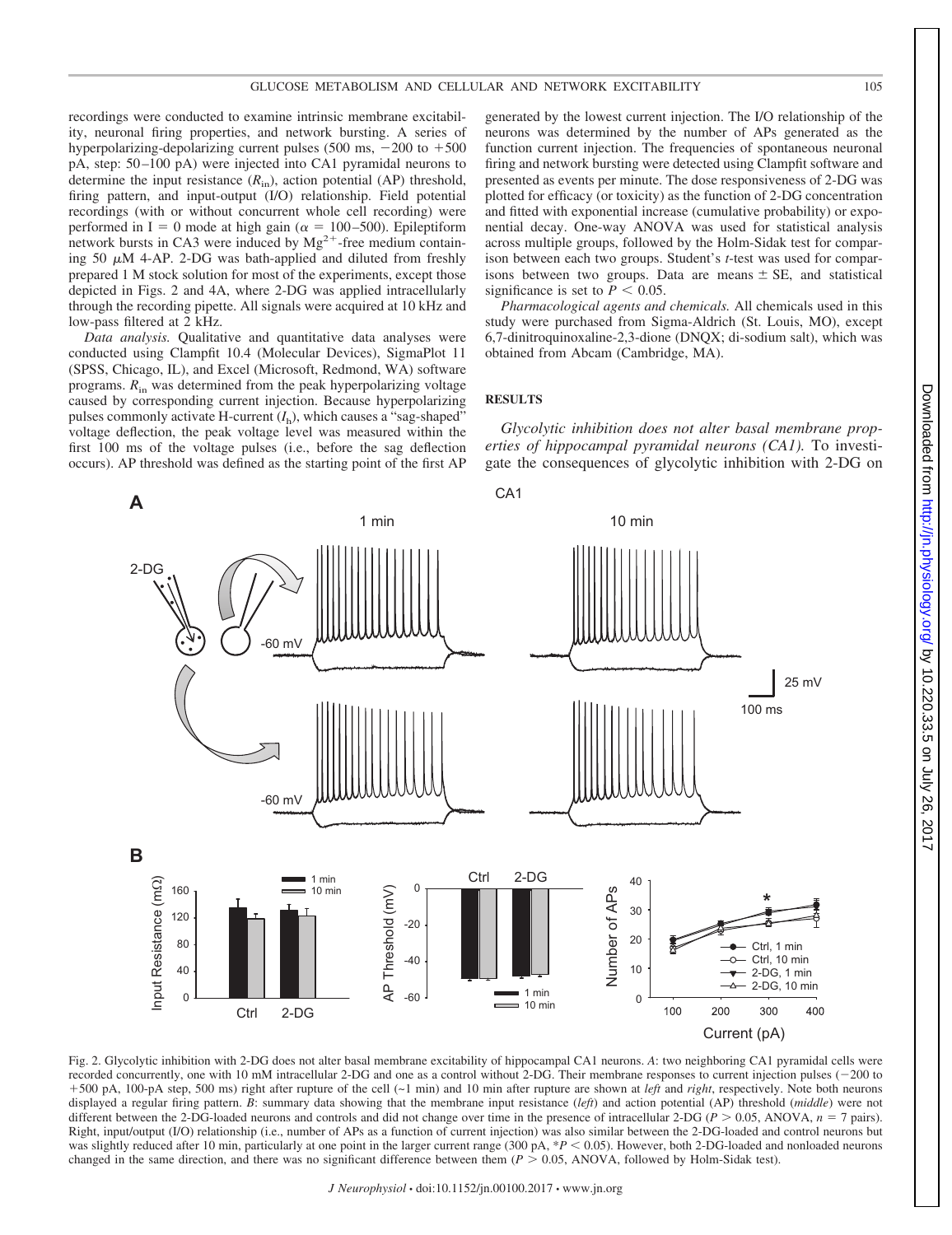recordings were conducted to examine intrinsic membrane excitability, neuronal firing properties, and network bursting. A series of hyperpolarizing-depolarizing current pulses  $(500 \text{ ms}, -200 \text{ to } +500$ pA, step: 50 –100 pA) were injected into CA1 pyramidal neurons to determine the input resistance (*R*in), action potential (AP) threshold, firing pattern, and input-output (I/O) relationship. Field potential recordings (with or without concurrent whole cell recording) were performed in I = 0 mode at high gain ( $\alpha$  = 100–500). Epileptiform network bursts in CA3 were induced by  $Mg^{2+}$ -free medium containing 50  $\mu$ M 4-AP. 2-DG was bath-applied and diluted from freshly prepared 1 M stock solution for most of the experiments, except those depicted in Figs. 2 and 4A, where 2-DG was applied intracellularly through the recording pipette. All signals were acquired at 10 kHz and low-pass filtered at 2 kHz.

*Data analysis.* Qualitative and quantitative data analyses were conducted using Clampfit 10.4 (Molecular Devices), SigmaPlot 11 (SPSS, Chicago, IL), and Excel (Microsoft, Redmond, WA) software programs. *R*in was determined from the peak hyperpolarizing voltage caused by corresponding current injection. Because hyperpolarizing pulses commonly activate H-current  $(I_h)$ , which causes a "sag-shaped" voltage deflection, the peak voltage level was measured within the first 100 ms of the voltage pulses (i.e., before the sag deflection occurs). AP threshold was defined as the starting point of the first AP

generated by the lowest current injection. The I/O relationship of the neurons was determined by the number of APs generated as the function current injection. The frequencies of spontaneous neuronal firing and network bursting were detected using Clampfit software and presented as events per minute. The dose responsiveness of 2-DG was plotted for efficacy (or toxicity) as the function of 2-DG concentration and fitted with exponential increase (cumulative probability) or exponential decay. One-way ANOVA was used for statistical analysis across multiple groups, followed by the Holm-Sidak test for comparison between each two groups. Student's *t*-test was used for comparisons between two groups. Data are means  $\pm$  SE, and statistical significance is set to  $P < 0.05$ .

*Pharmacological agents and chemicals.* All chemicals used in this study were purchased from Sigma-Aldrich (St. Louis, MO), except 6,7-dinitroquinoxaline-2,3-dione (DNQX; di-sodium salt), which was obtained from Abcam (Cambridge, MA).

#### **RESULTS**

*Glycolytic inhibition does not alter basal membrane properties of hippocampal pyramidal neurons (CA1).* To investigate the consequences of glycolytic inhibition with 2-DG on



Fig. 2. Glycolytic inhibition with 2-DG does not alter basal membrane excitability of hippocampal CA1 neurons. *A*: two neighboring CA1 pyramidal cells were recorded concurrently, one with 10 mM intracellular 2-DG and one as a control without 2-DG. Their membrane responses to current injection pulses  $(-200 \text{ to }$ +500 pA, 100-pA step, 500 ms) right after rupture of the cell (~1 min) and 10 min after rupture are shown at *left* and *right*, respectively. Note both neurons displayed a regular firing pattern. *B*: summary data showing that the membrane input resistance (*left*) and action potential (AP) threshold (*middle*) were not different between the 2-DG-loaded neurons and controls and did not change over time in the presence of intracellular 2-DG ( $P > 0.05$ , ANOVA,  $n = 7$  pairs). Right, input/output (I/O) relationship (i.e., number of APs as a function of current injection) was also similar between the 2-DG-loaded and control neurons but was slightly reduced after 10 min, particularly at one point in the larger current range (300 pA,  $*P$  < 0.05). However, both 2-DG-loaded and nonloaded neurons changed in the same direction, and there was no significant difference between them  $(P > 0.05, ANOVA,$  followed by Holm-Sidak test).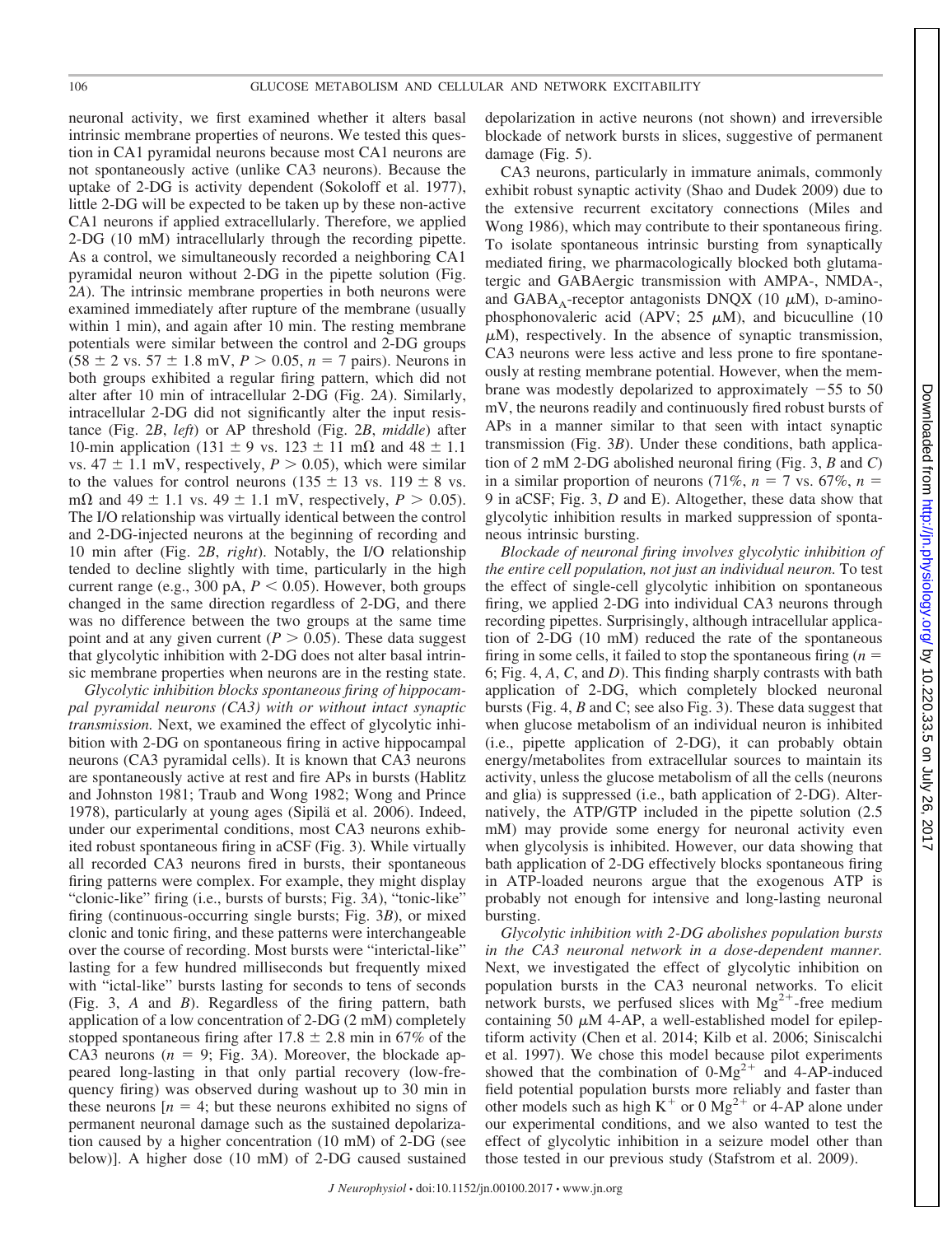neuronal activity, we first examined whether it alters basal intrinsic membrane properties of neurons. We tested this question in CA1 pyramidal neurons because most CA1 neurons are not spontaneously active (unlike CA3 neurons). Because the uptake of 2-DG is activity dependent (Sokoloff et al. 1977), little 2-DG will be expected to be taken up by these non-active CA1 neurons if applied extracellularly. Therefore, we applied 2-DG (10 mM) intracellularly through the recording pipette. As a control, we simultaneously recorded a neighboring CA1 pyramidal neuron without 2-DG in the pipette solution (Fig. 2*A*). The intrinsic membrane properties in both neurons were examined immediately after rupture of the membrane (usually within 1 min), and again after 10 min. The resting membrane potentials were similar between the control and 2-DG groups  $(58 \pm 2 \text{ vs. } 57 \pm 1.8 \text{ mV}, P > 0.05, n = 7 \text{ pairs}).$  Neurons in both groups exhibited a regular firing pattern, which did not alter after 10 min of intracellular 2-DG (Fig. 2*A*). Similarly, intracellular 2-DG did not significantly alter the input resistance (Fig. 2*B*, *left*) or AP threshold (Fig. 2*B*, *middle*) after 10-min application (131  $\pm$  9 vs. 123  $\pm$  11 m $\Omega$  and 48  $\pm$  1.1 vs.  $47 \pm 1.1$  mV, respectively,  $P > 0.05$ ), which were similar to the values for control neurons (135  $\pm$  13 vs. 119  $\pm$  8 vs. m $\Omega$  and 49  $\pm$  1.1 vs. 49  $\pm$  1.1 mV, respectively,  $P > 0.05$ ). The I/O relationship was virtually identical between the control and 2-DG-injected neurons at the beginning of recording and 10 min after (Fig. 2*B*, *right*). Notably, the I/O relationship tended to decline slightly with time, particularly in the high current range (e.g., 300 pA,  $P < 0.05$ ). However, both groups changed in the same direction regardless of 2-DG, and there was no difference between the two groups at the same time point and at any given current ( $P > 0.05$ ). These data suggest that glycolytic inhibition with 2-DG does not alter basal intrinsic membrane properties when neurons are in the resting state.

*Glycolytic inhibition blocks spontaneous firing of hippocampal pyramidal neurons (CA3) with or without intact synaptic transmission.* Next, we examined the effect of glycolytic inhibition with 2-DG on spontaneous firing in active hippocampal neurons (CA3 pyramidal cells). It is known that CA3 neurons are spontaneously active at rest and fire APs in bursts (Hablitz and Johnston 1981; Traub and Wong 1982; Wong and Prince 1978), particularly at young ages (Sipilä et al. 2006). Indeed, under our experimental conditions, most CA3 neurons exhibited robust spontaneous firing in aCSF (Fig. 3). While virtually all recorded CA3 neurons fired in bursts, their spontaneous firing patterns were complex. For example, they might display "clonic-like" firing (i.e., bursts of bursts; Fig. 3*A*), "tonic-like" firing (continuous-occurring single bursts; Fig. 3*B*), or mixed clonic and tonic firing, and these patterns were interchangeable over the course of recording. Most bursts were "interictal-like" lasting for a few hundred milliseconds but frequently mixed with "ictal-like" bursts lasting for seconds to tens of seconds (Fig. 3, *A* and *B*). Regardless of the firing pattern, bath application of a low concentration of 2-DG (2 mM) completely stopped spontaneous firing after  $17.8 \pm 2.8$  min in 67% of the CA3 neurons  $(n = 9; Fig. 3A)$ . Moreover, the blockade appeared long-lasting in that only partial recovery (low-frequency firing) was observed during washout up to 30 min in these neurons  $[n = 4]$ ; but these neurons exhibited no signs of permanent neuronal damage such as the sustained depolarization caused by a higher concentration (10 mM) of 2-DG (see below)]. A higher dose (10 mM) of 2-DG caused sustained

depolarization in active neurons (not shown) and irreversible blockade of network bursts in slices, suggestive of permanent damage (Fig. 5).

CA3 neurons, particularly in immature animals, commonly exhibit robust synaptic activity (Shao and Dudek 2009) due to the extensive recurrent excitatory connections (Miles and Wong 1986), which may contribute to their spontaneous firing. To isolate spontaneous intrinsic bursting from synaptically mediated firing, we pharmacologically blocked both glutamatergic and GABAergic transmission with AMPA-, NMDA-, and GABA<sub>A</sub>-receptor antagonists DNQX (10  $\mu$ M), D-aminophosphonovaleric acid (APV; 25  $\mu$ M), and bicuculline (10  $\mu$ M), respectively. In the absence of synaptic transmission, CA3 neurons were less active and less prone to fire spontaneously at resting membrane potential. However, when the membrane was modestly depolarized to approximately  $-55$  to 50 mV, the neurons readily and continuously fired robust bursts of APs in a manner similar to that seen with intact synaptic transmission (Fig. 3*B*). Under these conditions, bath application of 2 mM 2-DG abolished neuronal firing (Fig. 3, *B* and *C*) in a similar proportion of neurons (71%,  $n = 7$  vs. 67%,  $n =$ 9 in aCSF; Fig. 3, *D* and E). Altogether, these data show that glycolytic inhibition results in marked suppression of spontaneous intrinsic bursting.

*Blockade of neuronal firing involves glycolytic inhibition of the entire cell population, not just an individual neuron.* To test the effect of single-cell glycolytic inhibition on spontaneous firing, we applied 2-DG into individual CA3 neurons through recording pipettes. Surprisingly, although intracellular application of 2-DG (10 mM) reduced the rate of the spontaneous firing in some cells, it failed to stop the spontaneous firing (*n* 6; Fig. 4, *A*, *C*, and *D*). This finding sharply contrasts with bath application of 2-DG, which completely blocked neuronal bursts (Fig. 4, *B* and C; see also Fig. 3). These data suggest that when glucose metabolism of an individual neuron is inhibited (i.e., pipette application of 2-DG), it can probably obtain energy/metabolites from extracellular sources to maintain its activity, unless the glucose metabolism of all the cells (neurons and glia) is suppressed (i.e., bath application of 2-DG). Alternatively, the ATP/GTP included in the pipette solution (2.5 mM) may provide some energy for neuronal activity even when glycolysis is inhibited. However, our data showing that bath application of 2-DG effectively blocks spontaneous firing in ATP-loaded neurons argue that the exogenous ATP is probably not enough for intensive and long-lasting neuronal bursting.

*Glycolytic inhibition with 2-DG abolishes population bursts in the CA3 neuronal network in a dose-dependent manner.* Next, we investigated the effect of glycolytic inhibition on population bursts in the CA3 neuronal networks. To elicit network bursts, we perfused slices with  $Mg^{2+}$ -free medium containing 50  $\mu$ M 4-AP, a well-established model for epileptiform activity (Chen et al. 2014; Kilb et al. 2006; Siniscalchi et al. 1997). We chose this model because pilot experiments showed that the combination of  $0-Mg^{2+}$  and 4-AP-induced field potential population bursts more reliably and faster than other models such as high  $K^+$  or 0 Mg<sup>2+</sup> or 4-AP alone under our experimental conditions, and we also wanted to test the effect of glycolytic inhibition in a seizure model other than those tested in our previous study (Stafstrom et al. 2009).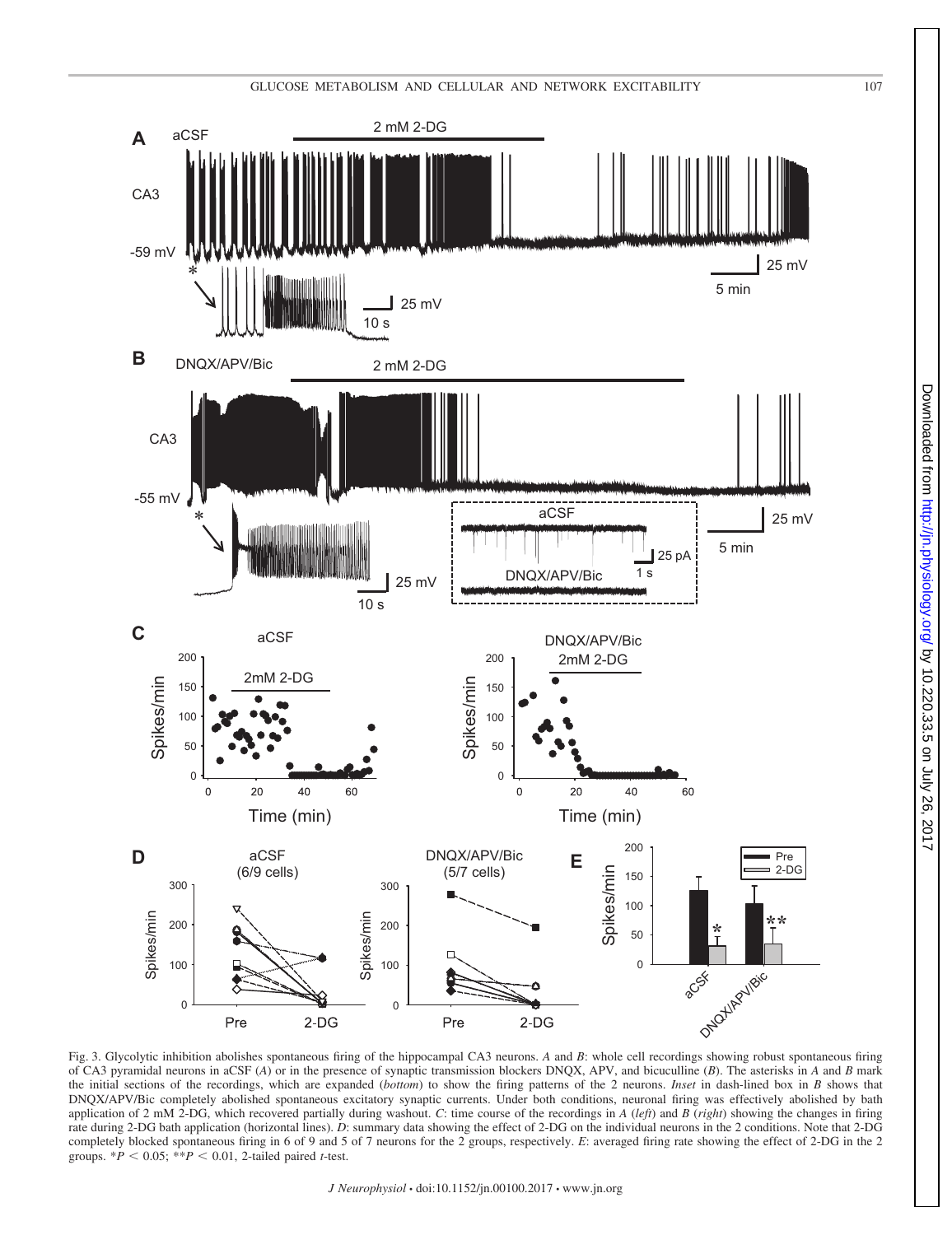

Fig. 3. Glycolytic inhibition abolishes spontaneous firing of the hippocampal CA3 neurons. *A* and *B*: whole cell recordings showing robust spontaneous firing of CA3 pyramidal neurons in aCSF (*A*) or in the presence of synaptic transmission blockers DNQX, APV, and bicuculline (*B*). The asterisks in *A* and *B* mark the initial sections of the recordings, which are expanded (*bottom*) to show the firing patterns of the 2 neurons. *Inset* in dash-lined box in *B* shows that DNQX/APV/Bic completely abolished spontaneous excitatory synaptic currents. Under both conditions, neuronal firing was effectively abolished by bath application of 2 mM 2-DG, which recovered partially during washout. *C*: time course of the recordings in *A* (*left*) and *B* (*right*) showing the changes in firing rate during 2-DG bath application (horizontal lines). *D*: summary data showing the effect of 2-DG on the individual neurons in the 2 conditions. Note that 2-DG completely blocked spontaneous firing in 6 of 9 and 5 of 7 neurons for the 2 groups, respectively. *E*: averaged firing rate showing the effect of 2-DG in the 2 groups.  $*P < 0.05$ ;  $**P < 0.01$ , 2-tailed paired *t*-test.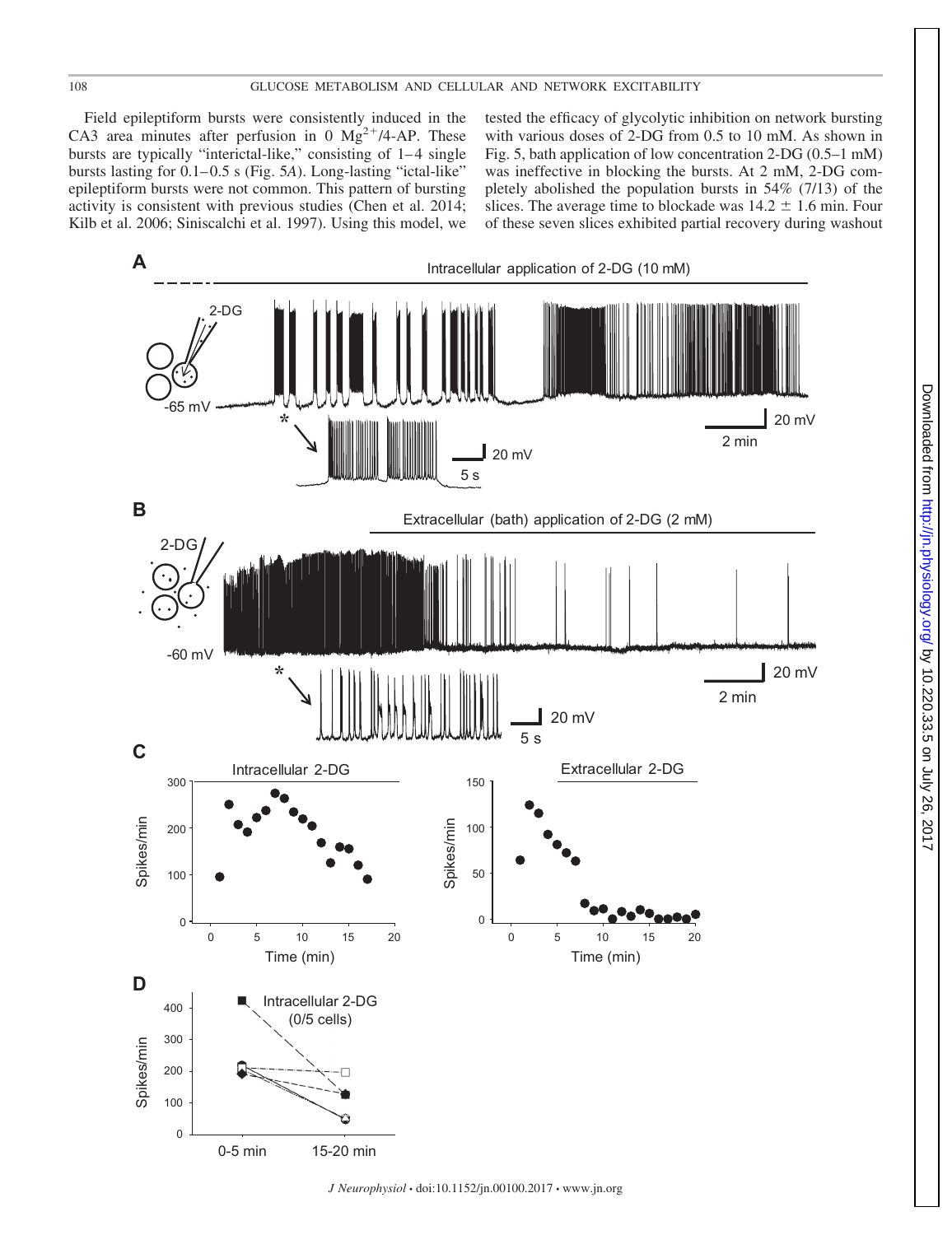#### 108 GLUCOSE METABOLISM AND CELLULAR AND NETWORK EXCITABILITY

Field epileptiform bursts were consistently induced in the CA3 area minutes after perfusion in 0  $Mg^{2+}/4$ -AP. These bursts are typically "interictal-like," consisting of 1-4 single bursts lasting for  $0.1-0.5$  s (Fig. 5A). Long-lasting "ictal-like" epileptiform bursts were not common. This pattern of bursting activity is consistent with previous studies (Chen et al. 2014; Kilb et al. 2006; Siniscalchi et al. 1997). Using this model, we

tested the efficacy of glycolytic inhibition on network bursting with various doses of 2-DG from 0.5 to 10 mM. As shown in Fig. 5, bath application of low concentration 2-DG (0.5–1 mM) was ineffective in blocking the bursts. At 2 mM, 2-DG completely abolished the population bursts in 54% (7/13) of the slices. The average time to blockade was  $14.2 \pm 1.6$  min. Four of these seven slices exhibited partial recovery during washout

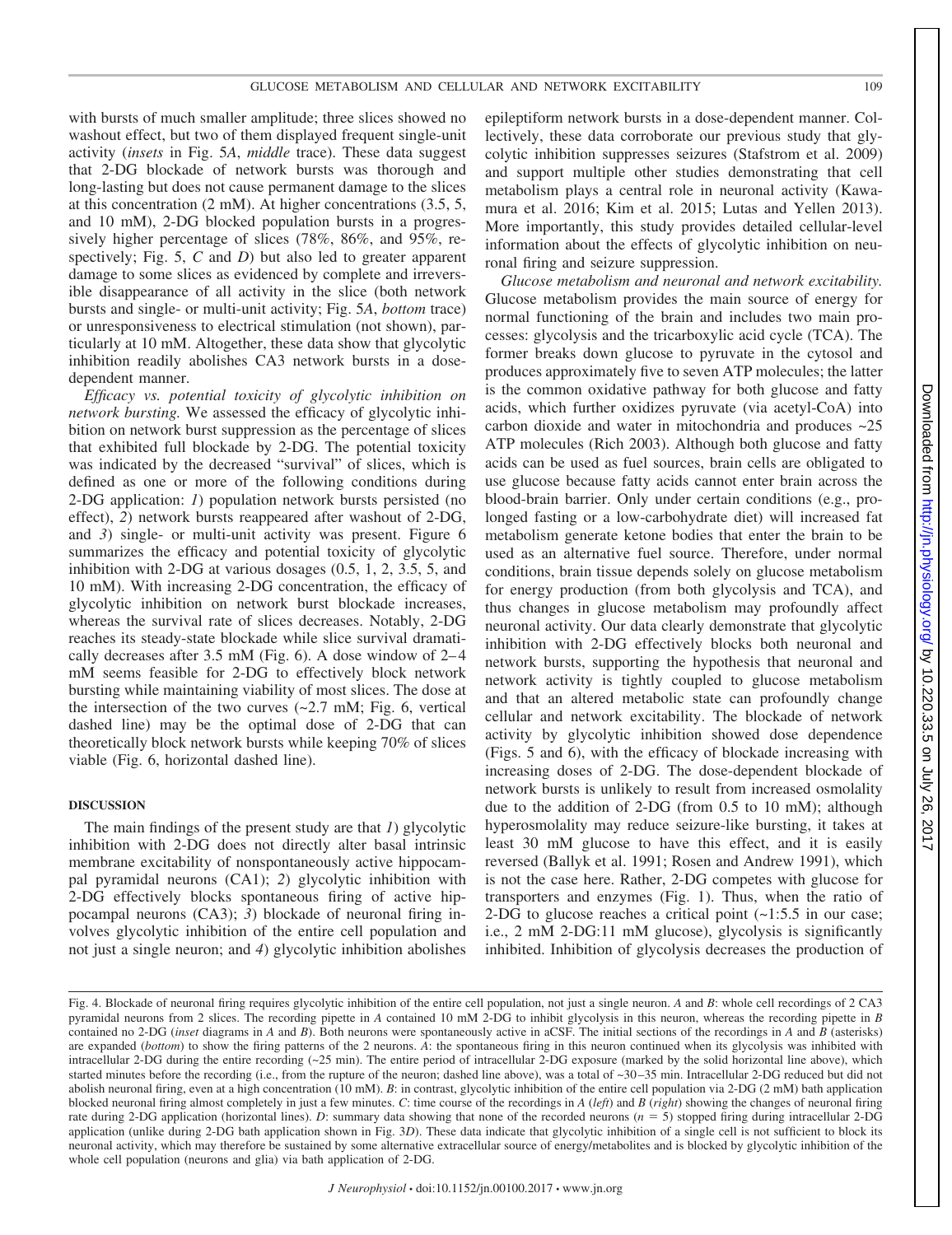with bursts of much smaller amplitude; three slices showed no washout effect, but two of them displayed frequent single-unit activity (*insets* in Fig. 5*A*, *middle* trace). These data suggest that 2-DG blockade of network bursts was thorough and long-lasting but does not cause permanent damage to the slices at this concentration (2 mM). At higher concentrations (3.5, 5, and 10 mM), 2-DG blocked population bursts in a progressively higher percentage of slices (78%, 86%, and 95%, respectively; Fig. 5, *C* and *D*) but also led to greater apparent damage to some slices as evidenced by complete and irreversible disappearance of all activity in the slice (both network bursts and single- or multi-unit activity; Fig. 5*A*, *bottom* trace) or unresponsiveness to electrical stimulation (not shown), particularly at 10 mM. Altogether, these data show that glycolytic inhibition readily abolishes CA3 network bursts in a dosedependent manner.

*Efficacy vs. potential toxicity of glycolytic inhibition on network bursting.* We assessed the efficacy of glycolytic inhibition on network burst suppression as the percentage of slices that exhibited full blockade by 2-DG. The potential toxicity was indicated by the decreased "survival" of slices, which is defined as one or more of the following conditions during 2-DG application: *1*) population network bursts persisted (no effect), *2*) network bursts reappeared after washout of 2-DG, and *3*) single- or multi-unit activity was present. Figure 6 summarizes the efficacy and potential toxicity of glycolytic inhibition with 2-DG at various dosages (0.5, 1, 2, 3.5, 5, and 10 mM). With increasing 2-DG concentration, the efficacy of glycolytic inhibition on network burst blockade increases, whereas the survival rate of slices decreases. Notably, 2-DG reaches its steady-state blockade while slice survival dramatically decreases after 3.5 mM (Fig. 6). A dose window of 2– 4 mM seems feasible for 2-DG to effectively block network bursting while maintaining viability of most slices. The dose at the intersection of the two curves  $(\sim 2.7 \text{ mM}; \text{Fig. 6}, \text{ vertical})$ dashed line) may be the optimal dose of 2-DG that can theoretically block network bursts while keeping 70% of slices viable (Fig. 6, horizontal dashed line).

#### **DISCUSSION**

The main findings of the present study are that *1*) glycolytic inhibition with 2-DG does not directly alter basal intrinsic membrane excitability of nonspontaneously active hippocampal pyramidal neurons (CA1); *2*) glycolytic inhibition with 2-DG effectively blocks spontaneous firing of active hippocampal neurons (CA3); *3*) blockade of neuronal firing involves glycolytic inhibition of the entire cell population and not just a single neuron; and *4*) glycolytic inhibition abolishes

epileptiform network bursts in a dose-dependent manner. Collectively, these data corroborate our previous study that glycolytic inhibition suppresses seizures (Stafstrom et al. 2009) and support multiple other studies demonstrating that cell metabolism plays a central role in neuronal activity (Kawamura et al. 2016; Kim et al. 2015; Lutas and Yellen 2013). More importantly, this study provides detailed cellular-level information about the effects of glycolytic inhibition on neuronal firing and seizure suppression.

*Glucose metabolism and neuronal and network excitability.* Glucose metabolism provides the main source of energy for normal functioning of the brain and includes two main processes: glycolysis and the tricarboxylic acid cycle (TCA). The former breaks down glucose to pyruvate in the cytosol and produces approximately five to seven ATP molecules; the latter is the common oxidative pathway for both glucose and fatty acids, which further oxidizes pyruvate (via acetyl-CoA) into carbon dioxide and water in mitochondria and produces  $\sim$ 25 ATP molecules (Rich 2003). Although both glucose and fatty acids can be used as fuel sources, brain cells are obligated to use glucose because fatty acids cannot enter brain across the blood-brain barrier. Only under certain conditions (e.g., prolonged fasting or a low-carbohydrate diet) will increased fat metabolism generate ketone bodies that enter the brain to be used as an alternative fuel source. Therefore, under normal conditions, brain tissue depends solely on glucose metabolism for energy production (from both glycolysis and TCA), and thus changes in glucose metabolism may profoundly affect neuronal activity. Our data clearly demonstrate that glycolytic inhibition with 2-DG effectively blocks both neuronal and network bursts, supporting the hypothesis that neuronal and network activity is tightly coupled to glucose metabolism and that an altered metabolic state can profoundly change cellular and network excitability. The blockade of network activity by glycolytic inhibition showed dose dependence (Figs. 5 and 6), with the efficacy of blockade increasing with increasing doses of 2-DG. The dose-dependent blockade of network bursts is unlikely to result from increased osmolality due to the addition of 2-DG (from 0.5 to 10 mM); although hyperosmolality may reduce seizure-like bursting, it takes at least 30 mM glucose to have this effect, and it is easily reversed (Ballyk et al. 1991; Rosen and Andrew 1991), which is not the case here. Rather, 2-DG competes with glucose for transporters and enzymes (Fig. 1). Thus, when the ratio of 2-DG to glucose reaches a critical point  $(-1:5.5$  in our case; i.e., 2 mM 2-DG:11 mM glucose), glycolysis is significantly inhibited. Inhibition of glycolysis decreases the production of

Fig. 4. Blockade of neuronal firing requires glycolytic inhibition of the entire cell population, not just a single neuron. *A* and *B*: whole cell recordings of 2 CA3 pyramidal neurons from 2 slices. The recording pipette in *A* contained 10 mM 2-DG to inhibit glycolysis in this neuron, whereas the recording pipette in *B* contained no 2-DG (*inset* diagrams in *A* and *B*). Both neurons were spontaneously active in aCSF. The initial sections of the recordings in *A* and *B* (asterisks) are expanded (*bottom*) to show the firing patterns of the 2 neurons. *A*: the spontaneous firing in this neuron continued when its glycolysis was inhibited with intracellular 2-DG during the entire recording (~25 min). The entire period of intracellular 2-DG exposure (marked by the solid horizontal line above), which started minutes before the recording (i.e., from the rupture of the neuron; dashed line above), was a total of ~30-35 min. Intracellular 2-DG reduced but did not abolish neuronal firing, even at a high concentration (10 mM). *B*: in contrast, glycolytic inhibition of the entire cell population via 2-DG (2 mM) bath application blocked neuronal firing almost completely in just a few minutes. *C*: time course of the recordings in *A* (*left*) and *B* (*right*) showing the changes of neuronal firing rate during 2-DG application (horizontal lines). *D*: summary data showing that none of the recorded neurons (*n* = 5) stopped firing during intracellular 2-DG application (unlike during 2-DG bath application shown in Fig. 3D). These data indicate that glycolytic inhibition of a single cell is not sufficient to block its neuronal activity, which may therefore be sustained by some alternative extracellular source of energy/metabolites and is blocked by glycolytic inhibition of the whole cell population (neurons and glia) via bath application of 2-DG.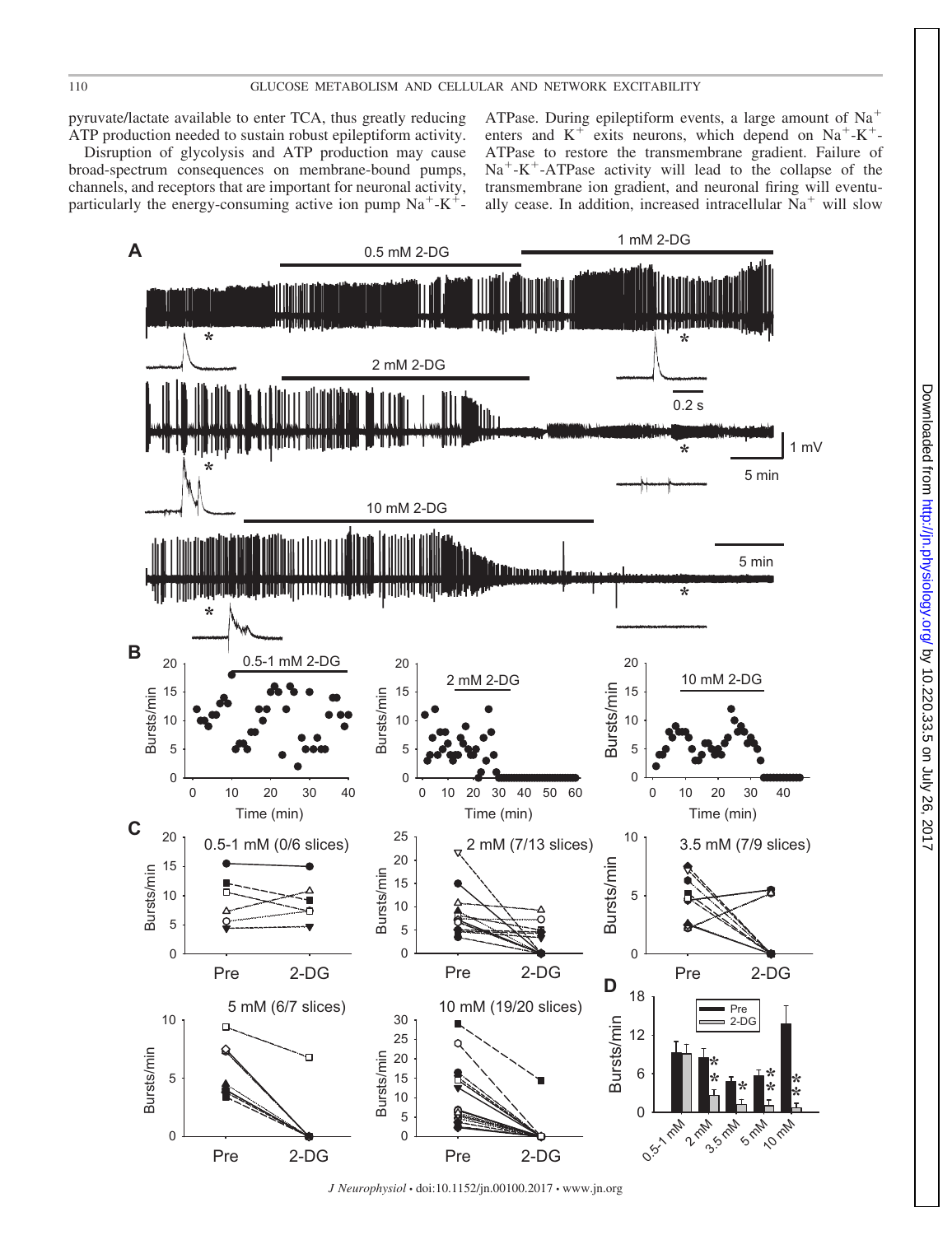pyruvate/lactate available to enter TCA, thus greatly reducing ATP production needed to sustain robust epileptiform activity.

Disruption of glycolysis and ATP production may cause broad-spectrum consequences on membrane-bound pumps, channels, and receptors that are important for neuronal activity, particularly the energy-consuming active ion pump  $Na^+ - K^+$ 

ATPase. During epileptiform events, a large amount of  $Na<sup>+</sup>$ enters and  $K^+$  exits neurons, which depend on  $Na^+ - K^+$ -ATPase to restore the transmembrane gradient. Failure of  $Na^+ - K^+$ -ATPase activity will lead to the collapse of the transmembrane ion gradient, and neuronal firing will eventually cease. In addition, increased intracellular  $Na<sup>+</sup>$  will slow



*J Neurophysiol* • doi:10.1152/jn.00100.2017 • www.jn.org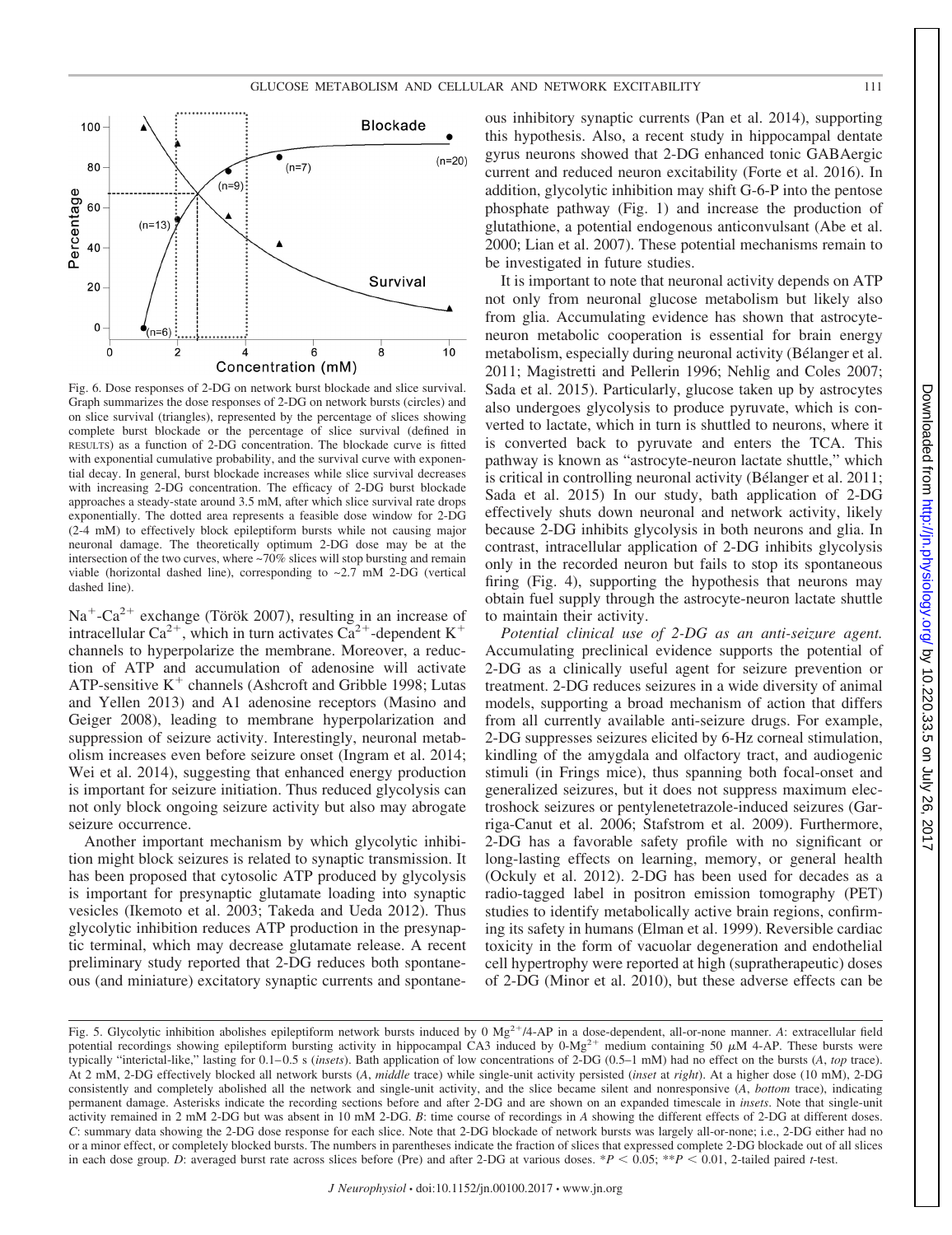

Fig. 6. Dose responses of 2-DG on network burst blockade and slice survival. Graph summarizes the dose responses of 2-DG on network bursts (circles) and on slice survival (triangles), represented by the percentage of slices showing complete burst blockade or the percentage of slice survival (defined in RESULTS) as a function of 2-DG concentration. The blockade curve is fitted with exponential cumulative probability, and the survival curve with exponential decay. In general, burst blockade increases while slice survival decreases with increasing 2-DG concentration. The efficacy of 2-DG burst blockade approaches a steady-state around 3.5 mM, after which slice survival rate drops exponentially. The dotted area represents a feasible dose window for 2-DG (2-4 mM) to effectively block epileptiform bursts while not causing major neuronal damage. The theoretically optimum 2-DG dose may be at the intersection of the two curves, where ~70% slices will stop bursting and remain viable (horizontal dashed line), corresponding to  $\sim 2.7$  mM 2-DG (vertical dashed line).

 $Na<sup>+</sup>-Ca<sup>2+</sup>$  exchange (Török 2007), resulting in an increase of intracellular Ca<sup>2+</sup>, which in turn activates Ca<sup>2+</sup>-dependent K<sup>+</sup> channels to hyperpolarize the membrane. Moreover, a reduction of ATP and accumulation of adenosine will activate ATP-sensitive  $K^+$  channels (Ashcroft and Gribble 1998; Lutas and Yellen 2013) and A1 adenosine receptors (Masino and Geiger 2008), leading to membrane hyperpolarization and suppression of seizure activity. Interestingly, neuronal metabolism increases even before seizure onset (Ingram et al. 2014; Wei et al. 2014), suggesting that enhanced energy production is important for seizure initiation. Thus reduced glycolysis can not only block ongoing seizure activity but also may abrogate seizure occurrence.

Another important mechanism by which glycolytic inhibition might block seizures is related to synaptic transmission. It has been proposed that cytosolic ATP produced by glycolysis is important for presynaptic glutamate loading into synaptic vesicles (Ikemoto et al. 2003; Takeda and Ueda 2012). Thus glycolytic inhibition reduces ATP production in the presynaptic terminal, which may decrease glutamate release. A recent preliminary study reported that 2-DG reduces both spontaneous (and miniature) excitatory synaptic currents and spontane-

ous inhibitory synaptic currents (Pan et al. 2014), supporting this hypothesis. Also, a recent study in hippocampal dentate gyrus neurons showed that 2-DG enhanced tonic GABAergic current and reduced neuron excitability (Forte et al. 2016). In addition, glycolytic inhibition may shift G-6-P into the pentose phosphate pathway (Fig. 1) and increase the production of glutathione, a potential endogenous anticonvulsant (Abe et al. 2000; Lian et al. 2007). These potential mechanisms remain to be investigated in future studies.

It is important to note that neuronal activity depends on ATP not only from neuronal glucose metabolism but likely also from glia. Accumulating evidence has shown that astrocyteneuron metabolic cooperation is essential for brain energy metabolism, especially during neuronal activity (Bélanger et al. 2011; Magistretti and Pellerin 1996; Nehlig and Coles 2007; Sada et al. 2015). Particularly, glucose taken up by astrocytes also undergoes glycolysis to produce pyruvate, which is converted to lactate, which in turn is shuttled to neurons, where it is converted back to pyruvate and enters the TCA. This pathway is known as "astrocyte-neuron lactate shuttle," which is critical in controlling neuronal activity (Bélanger et al. 2011; Sada et al. 2015) In our study, bath application of 2-DG effectively shuts down neuronal and network activity, likely because 2-DG inhibits glycolysis in both neurons and glia. In contrast, intracellular application of 2-DG inhibits glycolysis only in the recorded neuron but fails to stop its spontaneous firing (Fig. 4), supporting the hypothesis that neurons may obtain fuel supply through the astrocyte-neuron lactate shuttle to maintain their activity.

*Potential clinical use of 2-DG as an anti-seizure agent.* Accumulating preclinical evidence supports the potential of 2-DG as a clinically useful agent for seizure prevention or treatment. 2-DG reduces seizures in a wide diversity of animal models, supporting a broad mechanism of action that differs from all currently available anti-seizure drugs. For example, 2-DG suppresses seizures elicited by 6-Hz corneal stimulation, kindling of the amygdala and olfactory tract, and audiogenic stimuli (in Frings mice), thus spanning both focal-onset and generalized seizures, but it does not suppress maximum electroshock seizures or pentylenetetrazole-induced seizures (Garriga-Canut et al. 2006; Stafstrom et al. 2009). Furthermore, 2-DG has a favorable safety profile with no significant or long-lasting effects on learning, memory, or general health (Ockuly et al. 2012). 2-DG has been used for decades as a radio-tagged label in positron emission tomography (PET) studies to identify metabolically active brain regions, confirming its safety in humans (Elman et al. 1999). Reversible cardiac toxicity in the form of vacuolar degeneration and endothelial cell hypertrophy were reported at high (supratherapeutic) doses of 2-DG (Minor et al. 2010), but these adverse effects can be

Fig. 5. Glycolytic inhibition abolishes epileptiform network bursts induced by 0 Mg<sup>2+</sup>/4-AP in a dose-dependent, all-or-none manner. *A*: extracellular field potential recordings showing epileptiform bursting activity in hippocampal CA3 induced by  $0$ -Mg<sup>2+</sup> medium containing 50  $\mu$ M 4-AP. These bursts were typically "interictal-like," lasting for 0.1– 0.5 s (*insets*). Bath application of low concentrations of 2-DG (0.5–1 mM) had no effect on the bursts (*A*, *top* trace). At 2 mM, 2-DG effectively blocked all network bursts (*A*, *middle* trace) while single-unit activity persisted (*inset* at *right*). At a higher dose (10 mM), 2-DG consistently and completely abolished all the network and single-unit activity, and the slice became silent and nonresponsive (*A*, *bottom* trace), indicating permanent damage. Asterisks indicate the recording sections before and after 2-DG and are shown on an expanded timescale in *insets*. Note that single-unit activity remained in 2 mM 2-DG but was absent in 10 mM 2-DG. *B*: time course of recordings in *A* showing the different effects of 2-DG at different doses. *C*: summary data showing the 2-DG dose response for each slice. Note that 2-DG blockade of network bursts was largely all-or-none; i.e., 2-DG either had no or a minor effect, or completely blocked bursts. The numbers in parentheses indicate the fraction of slices that expressed complete 2-DG blockade out of all slices in each dose group. *D*: averaged burst rate across slices before (Pre) and after 2-DG at various doses.  $*P < 0.05$ ;  $**P < 0.01$ , 2-tailed paired *t*-test.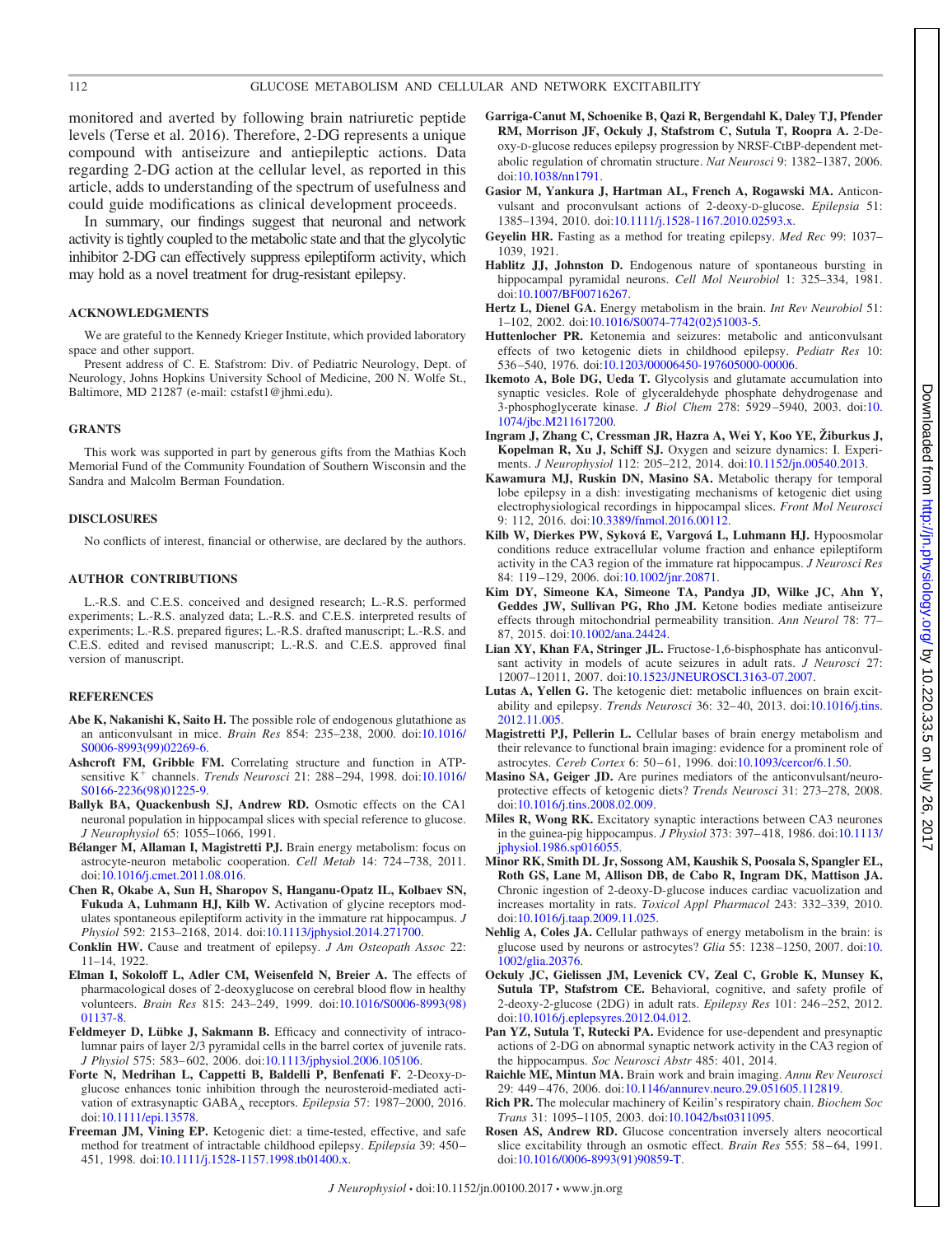#### 112 GLUCOSE METABOLISM AND CELLULAR AND NETWORK EXCITABILITY

monitored and averted by following brain natriuretic peptide levels (Terse et al. 2016). Therefore, 2-DG represents a unique compound with antiseizure and antiepileptic actions. Data regarding 2-DG action at the cellular level, as reported in this article, adds to understanding of the spectrum of usefulness and could guide modifications as clinical development proceeds.

In summary, our findings suggest that neuronal and network activity is tightly coupled to the metabolic state and that the glycolytic inhibitor 2-DG can effectively suppress epileptiform activity, which may hold as a novel treatment for drug-resistant epilepsy.

#### **ACKNOWLEDGMENTS**

We are grateful to the Kennedy Krieger Institute, which provided laboratory space and other support.

Present address of C. E. Stafstrom: Div. of Pediatric Neurology, Dept. of Neurology, Johns Hopkins University School of Medicine, 200 N. Wolfe St., Baltimore, MD 21287 (e-mail: cstafst1@jhmi.edu).

#### **GRANTS**

This work was supported in part by generous gifts from the Mathias Koch Memorial Fund of the Community Foundation of Southern Wisconsin and the Sandra and Malcolm Berman Foundation.

#### **DISCLOSURES**

No conflicts of interest, financial or otherwise, are declared by the authors.

#### **AUTHOR CONTRIBUTIONS**

L.-R.S. and C.E.S. conceived and designed research; L.-R.S. performed experiments; L.-R.S. analyzed data; L.-R.S. and C.E.S. interpreted results of experiments; L.-R.S. prepared figures; L.-R.S. drafted manuscript; L.-R.S. and C.E.S. edited and revised manuscript; L.-R.S. and C.E.S. approved final version of manuscript.

#### **REFERENCES**

- **Abe K, Nakanishi K, Saito H.** The possible role of endogenous glutathione as an anticonvulsant in mice. *Brain Res* 854: 235–238, 2000. doi[:10.1016/](http://dx.doi.org/10.1016/S0006-8993(99)02269-6) [S0006-8993\(99\)02269-6.](http://dx.doi.org/10.1016/S0006-8993(99)02269-6)
- **Ashcroft FM, Gribble FM.** Correlating structure and function in ATPsensitive K<sup>+</sup> channels. *Trends Neurosci* 21: 288-294, 1998. doi[:10.1016/](http://dx.doi.org/10.1016/S0166-2236(98)01225-9) [S0166-2236\(98\)01225-9.](http://dx.doi.org/10.1016/S0166-2236(98)01225-9)
- **Ballyk BA, Quackenbush SJ, Andrew RD.** Osmotic effects on the CA1 neuronal population in hippocampal slices with special reference to glucose. *J Neurophysiol* 65: 1055–1066, 1991.
- **Bélanger M, Allaman I, Magistretti PJ.** Brain energy metabolism: focus on astrocyte-neuron metabolic cooperation. *Cell Metab* 14: 724 –738, 2011. doi[:10.1016/j.cmet.2011.08.016.](http://dx.doi.org/10.1016/j.cmet.2011.08.016)
- **Chen R, Okabe A, Sun H, Sharopov S, Hanganu-Opatz IL, Kolbaev SN, Fukuda A, Luhmann HJ, Kilb W.** Activation of glycine receptors modulates spontaneous epileptiform activity in the immature rat hippocampus. *J Physiol* 592: 2153–2168, 2014. doi[:10.1113/jphysiol.2014.271700.](http://dx.doi.org/10.1113/jphysiol.2014.271700)
- **Conklin HW.** Cause and treatment of epilepsy. *J Am Osteopath Assoc* 22: 11–14, 1922.
- **Elman I, Sokoloff L, Adler CM, Weisenfeld N, Breier A.** The effects of pharmacological doses of 2-deoxyglucose on cerebral blood flow in healthy volunteers. *Brain Res* 815: 243–249, 1999. doi[:10.1016/S0006-8993\(98\)](http://dx.doi.org/10.1016/S0006-8993(98)01137-8) [01137-8.](http://dx.doi.org/10.1016/S0006-8993(98)01137-8)
- **Feldmeyer D, Lübke J, Sakmann B.** Efficacy and connectivity of intracolumnar pairs of layer 2/3 pyramidal cells in the barrel cortex of juvenile rats. *J Physiol* 575: 583– 602, 2006. doi[:10.1113/jphysiol.2006.105106.](http://dx.doi.org/10.1113/jphysiol.2006.105106)
- **Forte N, Medrihan L, Cappetti B, Baldelli P, Benfenati F.** 2-Deoxy-Dglucose enhances tonic inhibition through the neurosteroid-mediated activation of extrasynaptic GABA<sub>A</sub> receptors. *Epilepsia* 57: 1987–2000, 2016. doi[:10.1111/epi.13578.](http://dx.doi.org/10.1111/epi.13578)
- **Freeman JM, Vining EP.** Ketogenic diet: a time-tested, effective, and safe method for treatment of intractable childhood epilepsy. *Epilepsia* 39: 450 – 451, 1998. doi[:10.1111/j.1528-1157.1998.tb01400.x.](http://dx.doi.org/10.1111/j.1528-1157.1998.tb01400.x)
- **Garriga-Canut M, Schoenike B, Qazi R, Bergendahl K, Daley TJ, Pfender RM, Morrison JF, Ockuly J, Stafstrom C, Sutula T, Roopra A.** 2-Deoxy-D-glucose reduces epilepsy progression by NRSF-CtBP-dependent metabolic regulation of chromatin structure. *Nat Neurosci* 9: 1382–1387, 2006. doi[:10.1038/nn1791.](http://dx.doi.org/10.1038/nn1791)
- **Gasior M, Yankura J, Hartman AL, French A, Rogawski MA.** Anticonvulsant and proconvulsant actions of 2-deoxy-D-glucose. *Epilepsia* 51: 1385–1394, 2010. doi[:10.1111/j.1528-1167.2010.02593.x.](http://dx.doi.org/10.1111/j.1528-1167.2010.02593.x)
- **Geyelin HR.** Fasting as a method for treating epilepsy. *Med Rec* 99: 1037– 1039, 1921.
- **Hablitz JJ, Johnston D.** Endogenous nature of spontaneous bursting in hippocampal pyramidal neurons. *Cell Mol Neurobiol* 1: 325–334, 1981. doi[:10.1007/BF00716267.](http://dx.doi.org/10.1007/BF00716267)
- **Hertz L, Dienel GA.** Energy metabolism in the brain. *Int Rev Neurobiol* 51: 1–102, 2002. doi[:10.1016/S0074-7742\(02\)51003-5.](http://dx.doi.org/10.1016/S0074-7742(02)51003-5)
- **Huttenlocher PR.** Ketonemia and seizures: metabolic and anticonvulsant effects of two ketogenic diets in childhood epilepsy. *Pediatr Res* 10: 536 –540, 1976. doi[:10.1203/00006450-197605000-00006.](http://dx.doi.org/10.1203/00006450-197605000-00006)
- **Ikemoto A, Bole DG, Ueda T.** Glycolysis and glutamate accumulation into synaptic vesicles. Role of glyceraldehyde phosphate dehydrogenase and 3-phosphoglycerate kinase. *J Biol Chem* 278: 5929 –5940, 2003. doi[:10.](http://dx.doi.org/10.1074/jbc.M211617200) [1074/jbc.M211617200.](http://dx.doi.org/10.1074/jbc.M211617200)
- **Ingram J, Zhang C, Cressman JR, Hazra A, Wei Y, Koo YE, Žiburkus J, Kopelman R, Xu J, Schiff SJ.** Oxygen and seizure dynamics: I. Experiments. *J Neurophysiol* 112: 205–212, 2014. doi[:10.1152/jn.00540.2013.](http://dx.doi.org/10.1152/jn.00540.2013)
- **Kawamura MJ, Ruskin DN, Masino SA.** Metabolic therapy for temporal lobe epilepsy in a dish: investigating mechanisms of ketogenic diet using electrophysiological recordings in hippocampal slices. *Front Mol Neurosci* 9: 112, 2016. doi[:10.3389/fnmol.2016.00112.](http://dx.doi.org/10.3389/fnmol.2016.00112)
- **Kilb W, Dierkes PW, Syková E, Vargová L, Luhmann HJ.** Hypoosmolar conditions reduce extracellular volume fraction and enhance epileptiform activity in the CA3 region of the immature rat hippocampus. *J Neurosci Res* 84: 119-129, 2006. doi[:10.1002/jnr.20871.](http://dx.doi.org/10.1002/jnr.20871)
- **Kim DY, Simeone KA, Simeone TA, Pandya JD, Wilke JC, Ahn Y, Geddes JW, Sullivan PG, Rho JM.** Ketone bodies mediate antiseizure effects through mitochondrial permeability transition. *Ann Neurol* 78: 77– 87, 2015. doi[:10.1002/ana.24424.](http://dx.doi.org/10.1002/ana.24424)
- **Lian XY, Khan FA, Stringer JL.** Fructose-1,6-bisphosphate has anticonvulsant activity in models of acute seizures in adult rats. *J Neurosci* 27: 12007–12011, 2007. doi[:10.1523/JNEUROSCI.3163-07.2007.](http://dx.doi.org/10.1523/JNEUROSCI.3163-07.2007)
- **Lutas A, Yellen G.** The ketogenic diet: metabolic influences on brain excitability and epilepsy. *Trends Neurosci* 36: 32– 40, 2013. doi[:10.1016/j.tins.](http://dx.doi.org/10.1016/j.tins.2012.11.005) [2012.11.005.](http://dx.doi.org/10.1016/j.tins.2012.11.005)
- **Magistretti PJ, Pellerin L.** Cellular bases of brain energy metabolism and their relevance to functional brain imaging: evidence for a prominent role of astrocytes. *Cereb Cortex* 6: 50 – 61, 1996. doi[:10.1093/cercor/6.1.50.](http://dx.doi.org/10.1093/cercor/6.1.50)
- **Masino SA, Geiger JD.** Are purines mediators of the anticonvulsant/neuroprotective effects of ketogenic diets? *Trends Neurosci* 31: 273–278, 2008. doi[:10.1016/j.tins.2008.02.009.](http://dx.doi.org/10.1016/j.tins.2008.02.009)
- **Miles R, Wong RK.** Excitatory synaptic interactions between CA3 neurones in the guinea-pig hippocampus. *J Physiol* 373: 397– 418, 1986. doi[:10.1113/](http://dx.doi.org/10.1113/jphysiol.1986.sp016055) [jphysiol.1986.sp016055.](http://dx.doi.org/10.1113/jphysiol.1986.sp016055)
- **Minor RK, Smith DL Jr, Sossong AM, Kaushik S, Poosala S, Spangler EL, Roth GS, Lane M, Allison DB, de Cabo R, Ingram DK, Mattison JA.** Chronic ingestion of 2-deoxy-D-glucose induces cardiac vacuolization and increases mortality in rats. *Toxicol Appl Pharmacol* 243: 332–339, 2010. doi[:10.1016/j.taap.2009.11.025.](http://dx.doi.org/10.1016/j.taap.2009.11.025)
- **Nehlig A, Coles JA.** Cellular pathways of energy metabolism in the brain: is glucose used by neurons or astrocytes? *Glia* 55: 1238 –1250, 2007. doi[:10.](http://dx.doi.org/10.1002/glia.20376) [1002/glia.20376.](http://dx.doi.org/10.1002/glia.20376)
- **Ockuly JC, Gielissen JM, Levenick CV, Zeal C, Groble K, Munsey K, Sutula TP, Stafstrom CE.** Behavioral, cognitive, and safety profile of 2-deoxy-2-glucose (2DG) in adult rats. *Epilepsy Res* 101: 246 –252, 2012. doi[:10.1016/j.eplepsyres.2012.04.012.](http://dx.doi.org/10.1016/j.eplepsyres.2012.04.012)
- **Pan YZ, Sutula T, Rutecki PA.** Evidence for use-dependent and presynaptic actions of 2-DG on abnormal synaptic network activity in the CA3 region of the hippocampus. *Soc Neurosci Abstr* 485: 401, 2014.
- **Raichle ME, Mintun MA.** Brain work and brain imaging. *Annu Rev Neurosci* 29: 449 – 476, 2006. doi[:10.1146/annurev.neuro.29.051605.112819.](http://dx.doi.org/10.1146/annurev.neuro.29.051605.112819)
- **Rich PR.** The molecular machinery of Keilin's respiratory chain. *Biochem Soc Trans* 31: 1095–1105, 2003. doi[:10.1042/bst0311095.](http://dx.doi.org/10.1042/bst0311095)
- **Rosen AS, Andrew RD.** Glucose concentration inversely alters neocortical slice excitability through an osmotic effect. *Brain Res* 555: 58 – 64, 1991. doi[:10.1016/0006-8993\(91\)90859-T.](http://dx.doi.org/10.1016/0006-8993(91)90859-T)